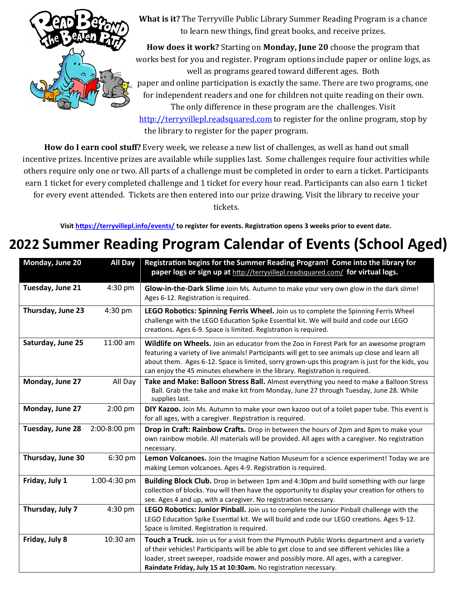

**What is it?** The Terryville Public Library Summer Reading Program is a chance to learn new things, find great books, and receive prizes.

**How does it work?** Starting on **Monday, June 20** choose the program that works best for you and register. Program options include paper or online logs, as well as programs geared toward different ages. Both paper and online participation is exactly the same. There are two programs, one for independent readers and one for children not quite reading on their own. The only difference in these program are the challenges. Visit

<http://terryvillepl.readsquared.com> to register for the online program, stop by the library to register for the paper program.

**How do I earn cool stuff?** Every week, we release a new list of challenges, as well as hand out small incentive prizes. Incentive prizes are available while supplies last. Some challenges require four activities while others require only one or two. All parts of a challenge must be completed in order to earn a ticket. Participants earn 1 ticket for every completed challenge and 1 ticket for every hour read. Participants can also earn 1 ticket for every event attended. Tickets are then entered into our prize drawing. Visit the library to receive your tickets.

**Visit<https://terryvillepl.info/events/> to register for events. Registration opens 3 weeks prior to event date.** 

### **2022 Summer Reading Program Calendar of Events (School Aged)**

| Monday, June 20   | <b>All Day</b> | Registration begins for the Summer Reading Program! Come into the library for<br>paper logs or sign up at http://terryvillepl.readsquared.com/ for virtual logs.                                                                                                                                                                                                               |
|-------------------|----------------|--------------------------------------------------------------------------------------------------------------------------------------------------------------------------------------------------------------------------------------------------------------------------------------------------------------------------------------------------------------------------------|
| Tuesday, June 21  | 4:30 pm        | Glow-in-the-Dark Slime Join Ms. Autumn to make your very own glow in the dark slime!<br>Ages 6-12. Registration is required.                                                                                                                                                                                                                                                   |
| Thursday, June 23 | 4:30 pm        | LEGO Robotics: Spinning Ferris Wheel. Join us to complete the Spinning Ferris Wheel<br>challenge with the LEGO Education Spike Essential kit. We will build and code our LEGO<br>creations. Ages 6-9. Space is limited. Registration is required.                                                                                                                              |
| Saturday, June 25 | 11:00 am       | Wildlife on Wheels. Join an educator from the Zoo in Forest Park for an awesome program<br>featuring a variety of live animals! Participants will get to see animals up close and learn all<br>about them. Ages 6-12. Space is limited, sorry grown-ups this program is just for the kids, you<br>can enjoy the 45 minutes elsewhere in the library. Registration is required. |
| Monday, June 27   | All Day        | Take and Make: Balloon Stress Ball. Almost everything you need to make a Balloon Stress<br>Ball. Grab the take and make kit from Monday, June 27 through Tuesday, June 28. While<br>supplies last.                                                                                                                                                                             |
| Monday, June 27   | $2:00$ pm      | DIY Kazoo. Join Ms. Autumn to make your own kazoo out of a toilet paper tube. This event is<br>for all ages, with a caregiver. Registration is required.                                                                                                                                                                                                                       |
| Tuesday, June 28  | 2:00-8:00 pm   | Drop in Craft: Rainbow Crafts. Drop in between the hours of 2pm and 8pm to make your<br>own rainbow mobile. All materials will be provided. All ages with a caregiver. No registration<br>necessary.                                                                                                                                                                           |
| Thursday, June 30 | 6:30 pm        | Lemon Volcanoes. Join the Imagine Nation Museum for a science experiment! Today we are<br>making Lemon volcanoes. Ages 4-9. Registration is required.                                                                                                                                                                                                                          |
| Friday, July 1    | 1:00-4:30 pm   | Building Block Club. Drop in between 1pm and 4:30pm and build something with our large<br>collection of blocks. You will then have the opportunity to display your creation for others to<br>see. Ages 4 and up, with a caregiver. No registration necessary.                                                                                                                  |
| Thursday, July 7  | 4:30 pm        | LEGO Robotics: Junior Pinball. Join us to complete the Junior Pinball challenge with the<br>LEGO Education Spike Essential kit. We will build and code our LEGO creations. Ages 9-12.<br>Space is limited. Registration is required.                                                                                                                                           |
| Friday, July 8    | 10:30 am       | Touch a Truck. Join us for a visit from the Plymouth Public Works department and a variety<br>of their vehicles! Participants will be able to get close to and see different vehicles like a<br>loader, street sweeper, roadside mower and possibly more. All ages, with a caregiver.<br>Raindate Friday, July 15 at 10:30am. No registration necessary.                       |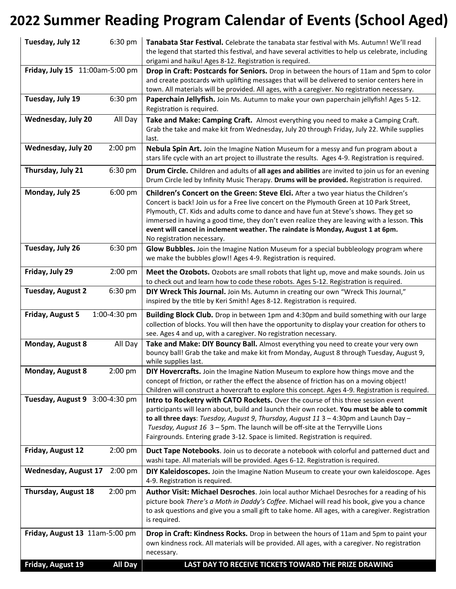### **2022 Summer Reading Program Calendar of Events (School Aged)**

| Tuesday, July 12                | 6:30 pm        | <b>Tanabata Star Festival.</b> Celebrate the tanabata star festival with Ms. Autumn! We'll read<br>the legend that started this festival, and have several activities to help us celebrate, including<br>origami and haiku! Ages 8-12. Registration is required.                                                                                                                                                                                                                                    |
|---------------------------------|----------------|-----------------------------------------------------------------------------------------------------------------------------------------------------------------------------------------------------------------------------------------------------------------------------------------------------------------------------------------------------------------------------------------------------------------------------------------------------------------------------------------------------|
| Friday, July 15 11:00am-5:00 pm |                | Drop in Craft: Postcards for Seniors. Drop in between the hours of 11am and 5pm to color<br>and create postcards with uplifting messages that will be delivered to senior centers here in<br>town. All materials will be provided. All ages, with a caregiver. No registration necessary.                                                                                                                                                                                                           |
| Tuesday, July 19                | 6:30 pm        | Paperchain Jellyfish. Join Ms. Autumn to make your own paperchain jellyfish! Ages 5-12.<br>Registration is required.                                                                                                                                                                                                                                                                                                                                                                                |
| <b>Wednesday, July 20</b>       | All Day        | Take and Make: Camping Craft. Almost everything you need to make a Camping Craft.<br>Grab the take and make kit from Wednesday, July 20 through Friday, July 22. While supplies<br>last.                                                                                                                                                                                                                                                                                                            |
| Wednesday, July 20              | 2:00 pm        | Nebula Spin Art. Join the Imagine Nation Museum for a messy and fun program about a<br>stars life cycle with an art project to illustrate the results. Ages 4-9. Registration is required.                                                                                                                                                                                                                                                                                                          |
| Thursday, July 21               | 6:30 pm        | Drum Circle. Children and adults of all ages and abilities are invited to join us for an evening<br>Drum Circle led by Infinity Music Therapy. Drums will be provided. Registration is required.                                                                                                                                                                                                                                                                                                    |
| Monday, July 25                 | 6:00 pm        | <b>Children's Concert on the Green: Steve Elci.</b> After a two year hiatus the Children's<br>Concert is back! Join us for a Free live concert on the Plymouth Green at 10 Park Street,<br>Plymouth, CT. Kids and adults come to dance and have fun at Steve's shows. They get so<br>immersed in having a good time, they don't even realize they are leaving with a lesson. This<br>event will cancel in inclement weather. The raindate is Monday, August 1 at 6pm.<br>No registration necessary. |
| Tuesday, July 26                | 6:30 pm        | Glow Bubbles. Join the Imagine Nation Museum for a special bubbleology program where<br>we make the bubbles glow!! Ages 4-9. Registration is required.                                                                                                                                                                                                                                                                                                                                              |
| Friday, July 29                 | $2:00$ pm      | Meet the Ozobots. Ozobots are small robots that light up, move and make sounds. Join us<br>to check out and learn how to code these robots. Ages 5-12. Registration is required.                                                                                                                                                                                                                                                                                                                    |
| <b>Tuesday, August 2</b>        | 6:30 pm        | DIY Wreck This Journal. Join Ms. Autumn in creating our own "Wreck This Journal,"<br>inspired by the title by Keri Smith! Ages 8-12. Registration is required.                                                                                                                                                                                                                                                                                                                                      |
| Friday, August 5                | 1:00-4:30 pm   | Building Block Club. Drop in between 1pm and 4:30pm and build something with our large<br>collection of blocks. You will then have the opportunity to display your creation for others to<br>see. Ages 4 and up, with a caregiver. No registration necessary.                                                                                                                                                                                                                                       |
| Monday, August 8                | All Day        | Take and Make: DIY Bouncy Ball. Almost everything you need to create your very own<br>bouncy ball! Grab the take and make kit from Monday, August 8 through Tuesday, August 9,<br>while supplies last.                                                                                                                                                                                                                                                                                              |
| Monday, August 8                | 2:00 pm        | <b>DIY Hovercrafts.</b> Join the Imagine Nation Museum to explore how things move and the<br>concept of friction, or rather the effect the absence of friction has on a moving object!<br>Children will construct a hovercraft to explore this concept. Ages 4-9. Registration is required.                                                                                                                                                                                                         |
| Tuesday, August 9 3:00-4:30 pm  |                | Intro to Rocketry with CATO Rockets. Over the course of this three session event<br>participants will learn about, build and launch their own rocket. You must be able to commit<br>to all three days: Tuesday, August 9, Thursday, August 11 $3 - 4:30$ pm and Launch Day -<br>Tuesday, August 16 3 - 5pm. The launch will be off-site at the Terryville Lions<br>Fairgrounds. Entering grade 3-12. Space is limited. Registration is required.                                                    |
| Friday, August 12               | $2:00$ pm      | Duct Tape Notebooks. Join us to decorate a notebook with colorful and patterned duct and<br>washi tape. All materials will be provided. Ages 6-12. Registration is required.                                                                                                                                                                                                                                                                                                                        |
| <b>Wednesday, August 17</b>     | $2:00$ pm      | DIY Kaleidoscopes. Join the Imagine Nation Museum to create your own kaleidoscope. Ages<br>4-9. Registration is required.                                                                                                                                                                                                                                                                                                                                                                           |
| Thursday, August 18             | 2:00 pm        | Author Visit: Michael Desroches. Join local author Michael Desroches for a reading of his<br>picture book There's a Moth in Daddy's Coffee. Michael will read his book, give you a chance<br>to ask questions and give you a small gift to take home. All ages, with a caregiver. Registration<br>is required.                                                                                                                                                                                      |
| Friday, August 13 11am-5:00 pm  |                | Drop in Craft: Kindness Rocks. Drop in between the hours of 11am and 5pm to paint your<br>own kindness rock. All materials will be provided. All ages, with a caregiver. No registration<br>necessary.                                                                                                                                                                                                                                                                                              |
| Friday, August 19               | <b>All Day</b> | LAST DAY TO RECEIVE TICKETS TOWARD THE PRIZE DRAWING                                                                                                                                                                                                                                                                                                                                                                                                                                                |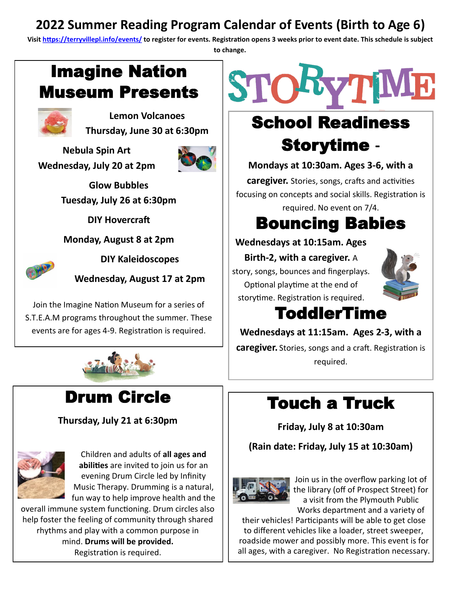#### **2022 Summer Reading Program Calendar of Events (Birth to Age 6)**

**Visit<https://terryvillepl.info/events/> to register for events. Registration opens 3 weeks prior to event date. This schedule is subject to change.**

### Imagine Nation Museum Presents



**Lemon Volcanoes Thursday, June 30 at 6:30pm**

**Nebula Spin Art Wednesday, July 20 at 2pm**



**Glow Bubbles Tuesday, July 26 at 6:30pm**

**DIY Hovercraft**

**Monday, August 8 at 2pm**



**DIY Kaleidoscopes**

**Wednesday, August 17 at 2pm**

Join the Imagine Nation Museum for a series of S.T.E.A.M programs throughout the summer. These events are for ages 4-9. Registration is required.



### Drum Circle

**Thursday, July 21 at 6:30pm**



Children and adults of **all ages and abilities** are invited to join us for an evening Drum Circle led by Infinity Music Therapy. Drumming is a natural, fun way to help improve health and the

overall immune system functioning. Drum circles also help foster the feeling of community through shared rhythms and play with a common purpose in mind. **Drums will be provided.** Registration is required.



## School Readiness Storytime **-**

**Mondays at 10:30am. Ages 3-6, with a** 

**caregiver.** Stories, songs, crafts and activities focusing on concepts and social skills. Registration is required. No event on 7/4.

# Bouncing Babies

**Wednesdays at 10:15am. Ages** 

**Birth-2, with a caregiver.** A story, songs, bounces and fingerplays. Optional playtime at the end of storytime. Registration is required.



### ToddlerTime

**Wednesdays at 11:15am. Ages 2-3, with a** 

**caregiver.** Stories, songs and a craft. Registration is required.

## Touch a Truck

**Friday, July 8 at 10:30am**

**(Rain date: Friday, July 15 at 10:30am)**



Join us in the overflow parking lot of the library (off of Prospect Street) for a visit from the Plymouth Public Works department and a variety of

their vehicles! Participants will be able to get close to different vehicles like a loader, street sweeper, roadside mower and possibly more. This event is for all ages, with a caregiver. No Registration necessary.